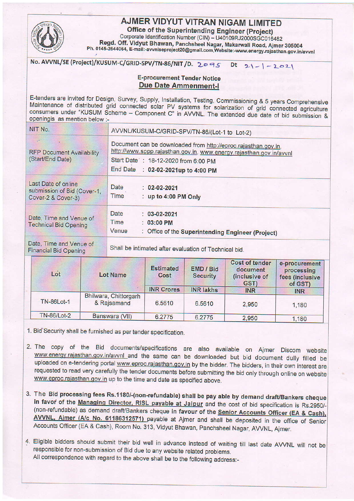

## **AJMER VIDYUT VITRAN NIGAM LIMITED**

**Office of the Superintending Engineer (Project)** 

Corporate Identification Number (CIN) - U40109RJ2000SGC016482 Regd. Off. Vidyut Bhawan, Panchsheel Nagar, Makarwali Road, Ajmer 305004 Ph. 0145-2644064, E-mail:-avvnlseproject20@gmail.com, Website:-www.energy.rajasthan.gov.in/avvnl

No. AVVNL/SE (Project)/KUSUM-C/GRID-SPV/TN-86/NIT /D. 2095 Dt  $21 - 2021$ 

## **E-procurement Tender Notice Due Date Ammenment-I**

E-tenders are invited for Design, Survey, Supply, Installation, Testing, Commissioning & 5 years Comprehensive Maintenance of distributed grid connected solar PV systems for solarization of grid connected agriculture consumers under "KUSUM Scheme - Component C" in AVVNL. The extended due date of bid submission & openingis as mention below :-

| NIT No.                                                                                                          | AVVNL/KUSUM-C/GRID-SPV/TN-86/(Lot-1 to Lot-2)                                                                                                                                                                       |  |  |  |  |
|------------------------------------------------------------------------------------------------------------------|---------------------------------------------------------------------------------------------------------------------------------------------------------------------------------------------------------------------|--|--|--|--|
| <b>RFP Document Availability</b><br>(Start/End Date)                                                             | Document can be downloaded from http://eproc.rajasthan.gov.in,<br>http://www.sppp.rajasthan.gov.in, www.energy.rajasthan.gov.in/avvnl<br>Start Date : 18-12-2020 from 6:00 PM<br>End Date : 02-02-2021up to 4:00 PM |  |  |  |  |
| Last Date of online<br>submission of Bid (Cover-1,<br>Cover-2 & Cover-3)                                         | Date<br>$: 02 - 02 - 2021$<br>Time<br>: up to 4:00 PM Only                                                                                                                                                          |  |  |  |  |
| Date, Time and Venue of<br><b>Technical Bid Opening</b>                                                          | Date<br>$: 03 - 02 - 2021$<br>Time<br>$: 03:00$ PM<br>Venue<br>: Office of the Superintending Engineer (Project)                                                                                                    |  |  |  |  |
| Date, Time and Venue of<br>Shall be intimated after evaluation of Technical bid.<br><b>Financial Bid Opening</b> |                                                                                                                                                                                                                     |  |  |  |  |
|                                                                                                                  | and the company's property of the company's property of the company's property of the company's                                                                                                                     |  |  |  |  |

| Lot                | <b>Lot Name</b>                      | <b>Estimated</b><br>Cost | <b>EMD / Bid</b><br><b>Security</b> | <b>Cost of tender</b><br>document<br>(inclusive of<br>GST) | e-procurement<br>processing<br>fees (inclusive<br>of GST) |
|--------------------|--------------------------------------|--------------------------|-------------------------------------|------------------------------------------------------------|-----------------------------------------------------------|
|                    |                                      | <b>INR Crores</b>        | <b>INR lakhs</b>                    | <b>INR</b>                                                 | <b>INR</b>                                                |
| <b>TN-86Lot-1</b>  | Bhilwara, Chittorgarh<br>& Rajsamand | 6.5610                   | 6.5610                              | 2,950                                                      | 1,180                                                     |
| <b>TN-86/Lot-2</b> | Banswara (VII)                       | 6.2775                   | 6.2775                              | 2,950                                                      | 1,180                                                     |

1. Bid Security shall be furnished as per tender specification.

- 2. The copy of the Bid documents/specifications are also available on Ajmer Discom website www.energy.rajasthan.gov.in/avvnl\_and the same can be downloaded but bid document dully filled be uploaded on e-tendering portal www.eproc.rajasthan.gov.in by the bidder. The bidders, in their own interest are requested to read very carefully the tender documents before submitting the bid only through online on website www.eproc.rajasthan.gov.in up to the time and date as specified above.
- 3. The Bid processing fees Rs.1180/-(non-refundable) shall be pay able by demand draft/Bankers cheque in favor of the Managing Director, RISL payable at Jaipur and the cost of bid specification is Rs.2950/-(non-refundable) as demand draft/Bankers cheque in favour of the Senior Accounts Officer (EA & Cash), AVVNL, Ajmer (A/c No. 61186312571) payable at Ajmer and shall be deposited in the office of Senior Accounts Officer (EA & Cash), Room No. 313, Vidyut Bhawan, Panchsheel Nagar, AVVNL, Ajmer.
- 4. Eligible bidders should submit their bid well in advance instead of waiting till last date AVVNL will not be responsible for non-submission of Bid due to any website related problems. All correspondence with regard to the above shall be to the following address:-